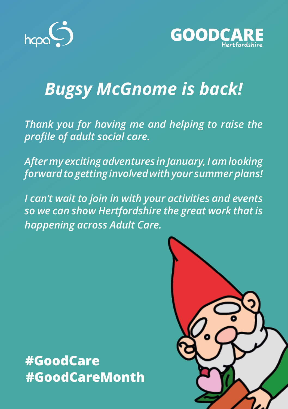



## *Bugsy McGnome is back!*

*Thank you for having me and helping to raise the profile of adult social care.*

*After my exciting adventures in January, I am looking forward to getting involved with your summer plans!*

*I can't wait to join in with your activities and events so we can show Hertfordshire the great work that is happening across Adult Care.*

#GoodCare #GoodCareMonth